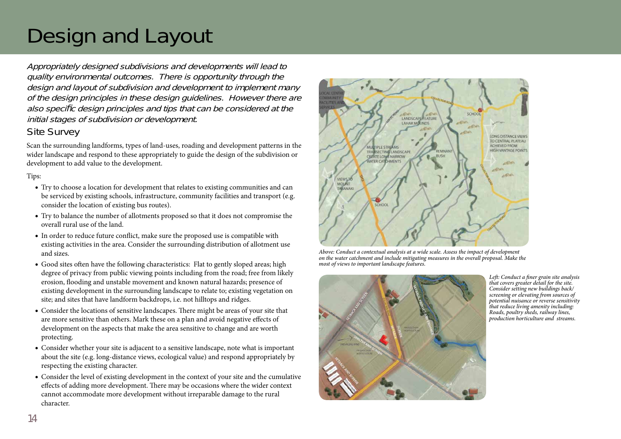# Design and Layout

Appropriately designed subdivisions and developments will lead to quality environmental outcomes. There is opportunity through the design and layout of subdivision and development to implement many of the design principles in these design guidelines. However there are also specific design principles and tips that can be considered at the initial stages of subdivision or development.

## Site Survey

Scan the surrounding landforms, types of land-uses, roading and development patterns in the wider landscape and respond to these appropriately to guide the design of the subdivision or development to add value to the development.

## Tips:

- Try to choose a location for development that relates to existing communities and can be serviced by existing schools, infrastructure, community facilities and transport (e.g. consider the location of existing bus routes).
- Try to balance the number of allotments proposed so that it does not compromise the overall rural use of the land.
- In order to reduce future conflict, make sure the proposed use is compatible with existing activities in the area. Consider the surrounding distribution of allotment use and sizes.
- Good sites often have the following characteristics: Flat to gently sloped areas; high degree of privacy from public viewing points including from the road; free from likely erosion, flooding and unstable movement and known natural hazards; presence of existing development in the surrounding landscape to relate to; existing vegetation on site; and sites that have landform backdrops, i.e. not hilltops and ridges.
- Consider the locations of sensitive landscapes. There might be areas of your site that are more sensitive than others. Mark these on a plan and avoid negative effects of development on the aspects that make the area sensitive to change and are worth protecting.
- Consider whether your site is adjacent to a sensitive landscape, note what is important about the site (e.g. long-distance views, ecological value) and respond appropriately by respecting the existing character.
- Consider the level of existing development in the context of your site and the cumulative effects of adding more development. There may be occasions where the wider context cannot accommodate more development without irreparable damage to the rural character.



*Above: Conduct a contextual analysis at a wide scale. Assess the impact of development on the water catchment and include mitigating measures in the overall proposal. Make the most of views to important landscape features.* 



Left: Conduct a finer grain site analysis *that covers greater detail for the site. Consider setting new buildings back/ screening or elevating from sources of potential nuisance or reverse sensitivity that reduce living amenity including: Roads, poultry sheds, railway lines, production horticulture and streams.*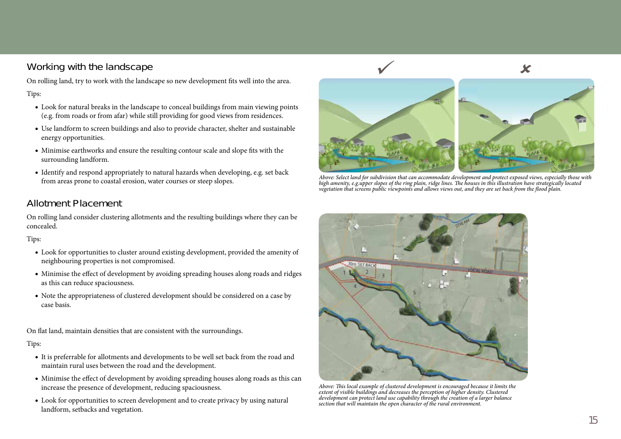# Working with the landscape

On rolling land, try to work with the landscape so new development fits well into the area. Tips:

- Look for natural breaks in the landscape to conceal buildings from main viewing points (e.g. from roads or from afar) while still providing for good views from residences.
- Use landform to screen buildings and also to provide character, shelter and sustainable energy opportunities.
- Minimise earthworks and ensure the resulting contour scale and slope fits with the surrounding landform.
- Identify and respond appropriately to natural hazards when developing, e.g. set back from areas prone to coastal erosion, water courses or steep slopes.

# Allotment Placement

On rolling land consider clustering allotments and the resulting buildings where they can be concealed.

#### Tips:

- Look for opportunities to cluster around existing development, provided the amenity of neighbouring properties is not compromised.
- Minimise the effect of development by avoiding spreading houses along roads and ridges as this can reduce spaciousness.
- Note the appropriateness of clustered development should be considered on a case by case basis.

On flat land, maintain densities that are consistent with the surroundings.

- It is preferrable for allotments and developments to be well set back from the road and maintain rural uses between the road and the development.
- Minimise the effect of development by avoiding spreading houses along roads as this can increase the presence of development, reducing spaciousness.
- Look for opportunities to screen development and to create privacy by using natural landform, setbacks and vegetation.



*Above: Select land for subdivision that can accommodate development and protect exposed views, especially those with high amenity, e.g.upper slopes of the ring plain, ridge lines. The houses in this illustration have strategically located vegetation that screens public viewpoints and allows views out, and they are set back from the flood plain.* 



Above: This local example of clustered development is encouraged because it limits the<br>extent of visible buildings and decreases the perception of higher density. Clustered<br>development can protect land use capability throu *section that will maintain the open character of the rural environment.*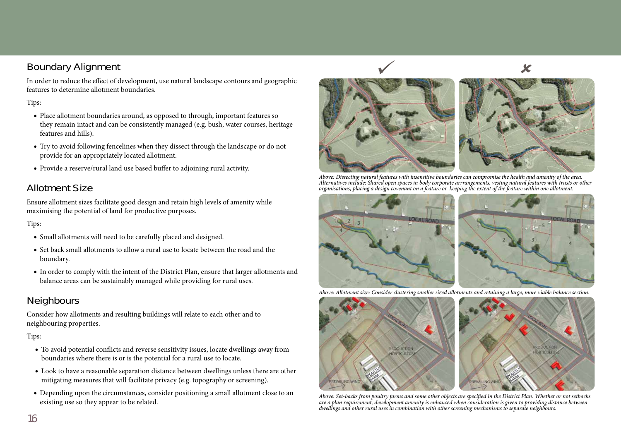# Boundary Alignment

In order to reduce the effect of development, use natural landscape contours and geographic features to determine allotment boundaries.

## Tips:

- Place allotment boundaries around, as opposed to through, important features so they remain intact and can be consistently managed (e.g. bush, water courses, heritage features and hills).
- Try to avoid following fencelines when they dissect through the landscape or do not provide for an appropriately located allotment.
- Provide a reserve/rural land use based buffer to adjoining rural activity.

## Allotment Size

Ensure allotment sizes facilitate good design and retain high levels of amenity while maximising the potential of land for productive purposes.

#### Tips:

- Small allotments will need to be carefully placed and designed.
- Set back small allotments to allow a rural use to locate between the road and the boundary.
- In order to comply with the intent of the District Plan, ensure that larger allotments and balance areas can be sustainably managed while providing for rural uses.

# **Neighbours**

Consider how allotments and resulting buildings will relate to each other and to neighbouring properties.

## Tips:

- To avoid potential conflicts and reverse sensitivity issues, locate dwellings away from boundaries where there is or is the potential for a rural use to locate.
- Look to have a reasonable separation distance between dwellings unless there are other mitigating measures that will facilitate privacy (e.g. topography or screening).
- Depending upon the circumstances, consider positioning a small allotment close to an existing use so they appear to be related.



*Above: Dissecting natural features with insensitive boundaries can compromise the health and amenity of the area. Alternatives include: Shared open spaces in body corporate arrrangements, vesting natural features with trusts or other organisations, placing a design covenant on a feature or keeping the extent of the feature within one allotment.*



*Above: Allotment size: Consider clustering smaller sized allotments and retaining a large, more viable balance section.*



Above: Set-backs from poultry farms and some other objects are specified in the District Plan. Whether or not setbacks *are a plan requirement, development amenity is enhanced when consideration is given to providing distance between dwellings and other rural uses in combination with other screening mechanisms to separate neighbours.*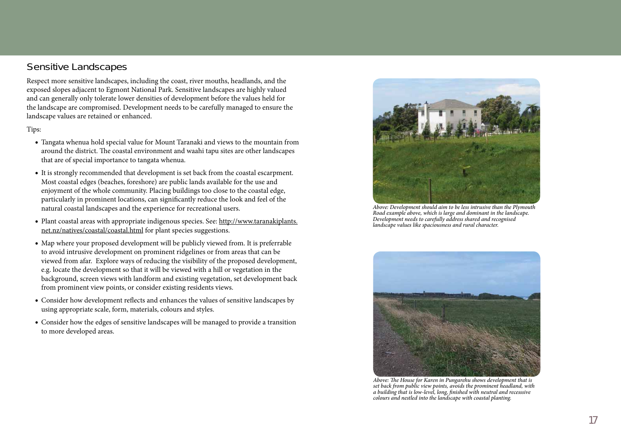## Sensitive Landscapes

Respect more sensitive landscapes, including the coast, river mouths, headlands, and the exposed slopes adjacent to Egmont National Park. Sensitive landscapes are highly valued and can generally only tolerate lower densities of development before the values held for the landscape are compromised. Development needs to be carefully managed to ensure the landscape values are retained or enhanced.

- Tangata whenua hold special value for Mount Taranaki and views to the mountain from around the district. The coastal environment and waahi tapu sites are other landscapes that are of special importance to tangata whenua.
- It is strongly recommended that development is set back from the coastal escarpment. Most coastal edges (beaches, foreshore) are public lands available for the use and enjoyment of the whole community. Placing buildings too close to the coastal edge, particularly in prominent locations, can significantly reduce the look and feel of the natural coastal landscapes and the experience for recreational users.
- Plant coastal areas with appropriate indigenous species. See: http://www.taranakiplants. net.nz/natives/coastal/coastal.html for plant species suggestions.
- Map where your proposed development will be publicly viewed from. It is preferrable to avoid intrusive development on prominent ridgelines or from areas that can be viewed from afar. Explore ways of reducing the visibility of the proposed development, e.g. locate the development so that it will be viewed with a hill or vegetation in the background, screen views with landform and existing vegetation, set development back from prominent view points, or consider existing residents views.
- Consider how development reflects and enhances the values of sensitive landscapes by using appropriate scale, form, materials, colours and styles.
- Consider how the edges of sensitive landscapes will be managed to provide a transition to more developed areas.



*Above: Development should aim to be less intrusive than the Plymouth Road example above, which is large and dominant in the landscape. Development needs to carefully address shared and recognised landscape values like spaciousness and rural character.* 



Above: The House for Karen in Pungarehu shows development that is<br>set back from public view points, avoids the prominent headland, with<br>a building that is low-level, long, finished with neutral and recesssive<br>colours and n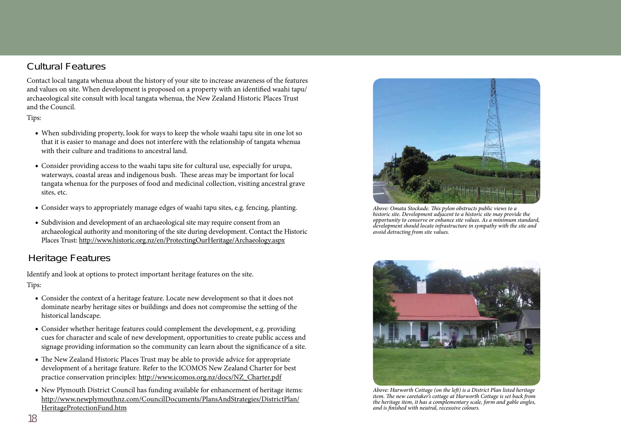# Cultural Features

Contact local tangata whenua about the history of your site to increase awareness of the features and values on site. When development is proposed on a property with an identified waahi tapu/ archaeological site consult with local tangata whenua, the New Zealand Historic Places Trust and the Council.

#### Tips:

- When subdividing property, look for ways to keep the whole waahi tapu site in one lot so that it is easier to manage and does not interfere with the relationship of tangata whenua with their culture and traditions to ancestral land.
- Consider providing access to the waahi tapu site for cultural use, especially for urupa, waterways, coastal areas and indigenous bush. These areas may be important for local tangata whenua for the purposes of food and medicinal collection, visiting ancestral grave sites, etc.
- Consider ways to appropriately manage edges of waahi tapu sites, e.g. fencing, planting.
- Subdivision and development of an archaeological site may require consent from an archaeological authority and monitoring of the site during development. Contact the Historic Places Trust: http://www.historic.org.nz/en/ProtectingOurHeritage/Archaeology.aspx

## Heritage Features

Identify and look at options to protect important heritage features on the site. Tips:

- Consider the context of a heritage feature. Locate new development so that it does not dominate nearby heritage sites or buildings and does not compromise the setting of the historical landscape.
- Consider whether heritage features could complement the development, e.g. providing cues for character and scale of new development, opportunities to create public access and signage providing information so the community can learn about the significance of a site.
- The New Zealand Historic Places Trust may be able to provide advice for appropriate development of a heritage feature. Refer to the ICOMOS New Zealand Charter for best practice conservation principles: http://www.icomos.org.nz/docs/NZ\_Charter.pdf
- New Plymouth District Council has funding available for enhancement of heritage items: http://www.newplymouthnz.com/CouncilDocuments/PlansAndStrategies/DistrictPlan/ HeritageProtectionFund.htm



*Above: Omata Stockade. This pylon obstructs public views to a historic site. Development adjacent to a historic site may provide the opportunity to conserve or enhance site values. As a minimum standard, development should locate infrastructure in sympathy with the site and avoid detracting from site values.* 



Above: Hurworth Cottage (on the left) is a District Plan listed heritage<br>item. The new caretaker's cottage at Hurworth Cottage is set back from *the heritage item, it has a complementary scale, form and gable angles, and is fi nished with neutral, recesssive colours.*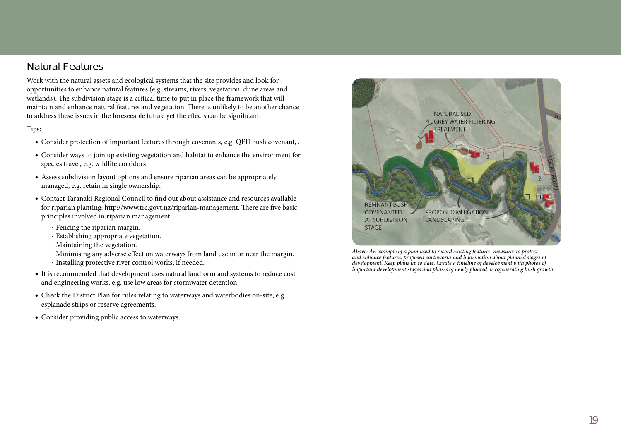## Natural Features

Work with the natural assets and ecological systems that the site provides and look for opportunities to enhance natural features (e.g. streams, rivers, vegetation, dune areas and wetlands). The subdivision stage is a critical time to put in place the framework that will maintain and enhance natural features and vegetation. There is unlikely to be another chance to address these issues in the foreseeable future yet the effects can be significant.

- Consider protection of important features through covenants, e.g. QEII bush covenant, .
- Consider ways to join up existing vegetation and habitat to enhance the environment for species travel, e.g. wildlife corridors
- Assess subdivision layout options and ensure riparian areas can be appropriately managed, e.g. retain in single ownership.
- Contact Taranaki Regional Council to find out about assistance and resources available for riparian planting: http://www.trc.govt.nz/riparian-management. There are five basic principles involved in riparian management:
	- · Fencing the riparian margin.
	- · Establishing appropriate vegetation.
	- · Maintaining the vegetation.
	- $\cdot$  Minimising any adverse effect on waterways from land use in or near the margin.
	- · Installing protective river control works, if needed.
- It is recommended that development uses natural landform and systems to reduce cost and engineering works, e.g. use low areas for stormwater detention.
- Check the District Plan for rules relating to waterways and waterbodies on-site, e.g. esplanade strips or reserve agreements.
- Consider providing public access to waterways.



*Above: An example of a plan used to record existing features, measures to protect and enhance features, proposed earthworks and information about planned stages of development. Keep plans up to date. Create a timeline of development with photos of important development stages and phases of newly planted or regenerating bush growth.*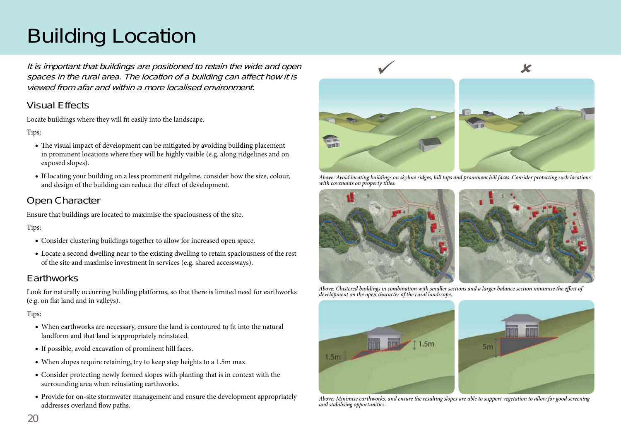# Building Location

It is important that buildings are positioned to retain the wide and open spaces in the rural area. The location of a building can affect how it is viewed from afar and within a more localised environment.

# Visual Effects

Locate buildings where they will fit easily into the landscape.

## Tips:

- The visual impact of development can be mitigated by avoiding building placement in prominent locations where they will be highly visible (e.g. along ridgelines and on exposed slopes).
- If locating your building on a less prominent ridgeline, consider how the size, colour, and design of the building can reduce the effect of development.

# Open Character

Ensure that buildings are located to maximise the spaciousness of the site.

## Tips:

- Consider clustering buildings together to allow for increased open space.
- Locate a second dwelling near to the existing dwelling to retain spaciousness of the rest of the site and maximise investment in services (e.g. shared accessways).

# **Earthworks**

Look for naturally occurring building platforms, so that there is limited need for earthworks (e.g. on flat land and in valleys).

- When earthworks are necessary, ensure the land is contoured to fit into the natural landform and that land is appropriately reinstated.
- If possible, avoid excavation of prominent hill faces.
- When slopes require retaining, try to keep step heights to a 1.5m max.
- Consider protecting newly formed slopes with planting that is in context with the surrounding area when reinstating earthworks.
- Provide for on-site stormwater management and ensure the development appropriately addresses overland flow paths.



*Above: Avoid locating buildings on skyline ridges, hill tops and prominent hill faces. Consider protecting such locations with covenants on property titles.* 



Above: Clustered buildings in combination with smaller sections and a larger balance section minimise the effect of *development on the open character of the rural landscape.*



*Above: Minimise earthworks, and ensure the resulting slopes are able to support vegetation to allow for good screening and stabilising opportunities.*